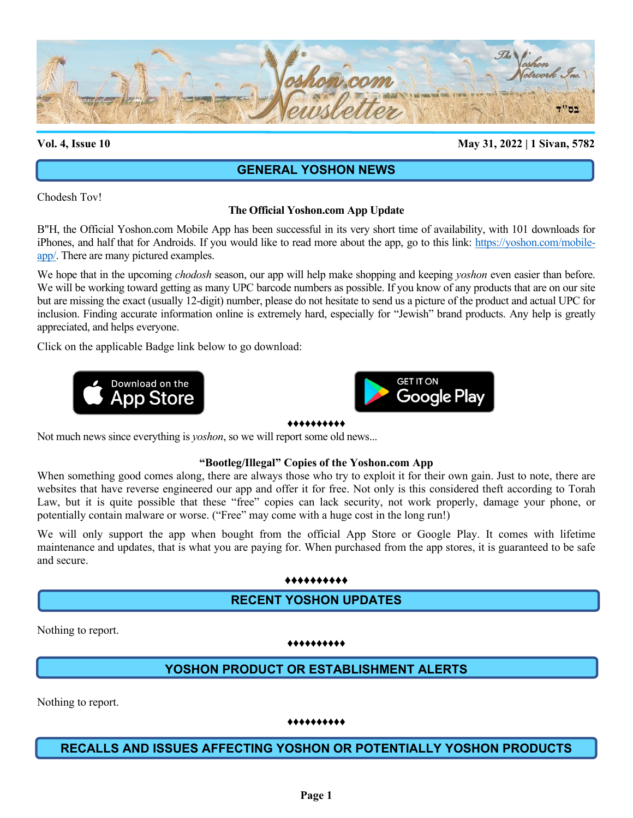

## **Vol. 4, Issue 10 May 31, 2022 | 1 Sivan, 5782**

# **GENERAL YOSHON NEWS**

Chodesh Tov!

# **The Official Yoshon.com App Update**

B"H, the Official Yoshon.com Mobile App has been successful in its very short time of availability, with 101 downloads for iPhones, and half that for Androids. If you would like to read more about the app, go to this link: [https://yoshon.com/mobile](https://yoshon.com/mobile-app/)[app/.](https://yoshon.com/mobile-app/) There are many pictured examples.

We hope that in the upcoming *chodosh* season, our app will help make shopping and keeping *yoshon* even easier than before. We will be working toward getting as many UPC barcode numbers as possible. If you know of any products that are on our site but are missing the exact (usually 12-digit) number, please do not hesitate to send us a picture of the product and actual UPC for inclusion. Finding accurate information online is extremely hard, especially for "Jewish" brand products. Any help is greatly appreciated, and helps everyone.

Click on the applicable Badge link below to go download:





### ♦♦♦♦♦♦♦♦♦♦

Not much news since everything is *yoshon*, so we will report some old news...

## **"Bootleg/Illegal" Copies of the Yoshon.com App**

When something good comes along, there are always those who try to exploit it for their own gain. Just to note, there are websites that have reverse engineered our app and offer it for free. Not only is this considered theft according to Torah Law, but it is quite possible that these "free" copies can lack security, not work properly, damage your phone, or potentially contain malware or worse. ("Free" may come with a huge cost in the long run!)

We will only support the app when bought from the official App Store or Google Play. It comes with lifetime maintenance and updates, that is what you are paying for. When purchased from the app stores, it is guaranteed to be safe and secure.

### ♦♦♦♦♦♦♦♦♦♦

# **RECENT YOSHON UPDATES**

Nothing to report.

### ♦♦♦♦♦♦♦♦♦♦

# **YOSHON PRODUCT OR ESTABLISHMENT ALERTS**

Nothing to report.

## ♦♦♦♦♦♦♦♦♦♦

# **RECALLS AND ISSUES AFFECTING YOSHON OR POTENTIALLY YOSHON PRODUCTS**